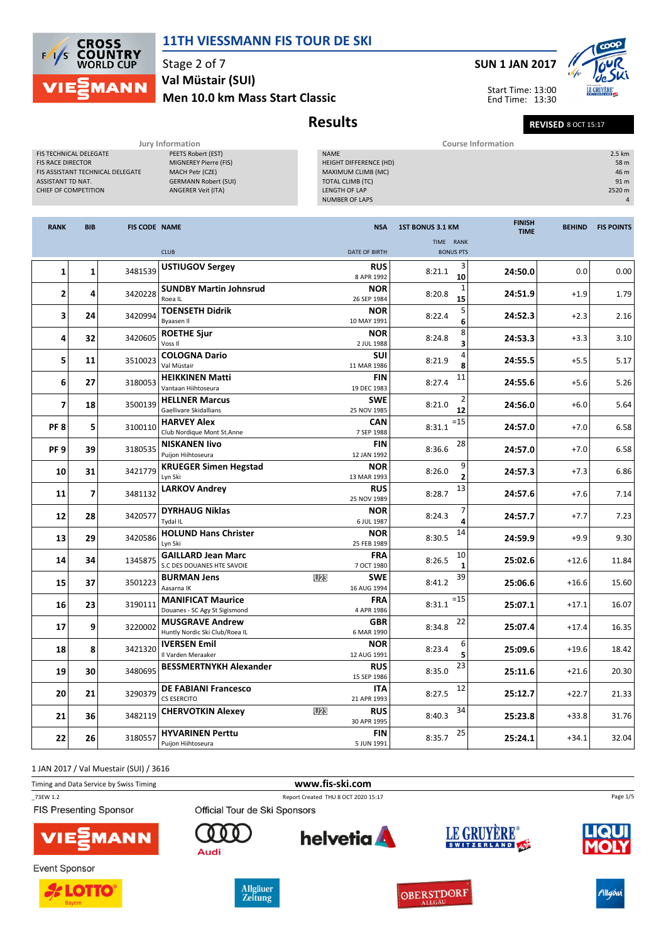

Stage 2 of 7 Men 10.0 km Mass Start Classic Val Müstair (SUI)

## SUN 1 JAN 2017



Start Time: 13:00 End Time: 13:30

Results Revised 8 OCT 15:17

|                                                                                                                                            | Jury Information                                                                                                    | <b>Course Information</b>                                                                                                 |                                                     |
|--------------------------------------------------------------------------------------------------------------------------------------------|---------------------------------------------------------------------------------------------------------------------|---------------------------------------------------------------------------------------------------------------------------|-----------------------------------------------------|
| <b>FIS TECHNICAL DELEGATE</b><br><b>FIS RACE DIRECTOR</b><br>FIS ASSISTANT TECHNICAL DELEGATE<br>ASSISTANT TD NAT.<br>CHIEF OF COMPETITION | PEETS Robert (EST)<br>MIGNEREY Pierre (FIS)<br>MACH Petr (CZE)<br><b>GERMANN Robert (SUI)</b><br>ANGERER Veit (ITA) | <b>NAME</b><br>HEIGHT DIFFERENCE (HD)<br>MAXIMUM CLIMB (MC)<br>TOTAL CLIMB (TC)<br>LENGTH OF LAP<br><b>NUMBER OF LAPS</b> | 2.5 km<br>58 m<br>46 m<br>91 <sub>m</sub><br>2520 m |
| <b>BIB</b><br><b>RANK</b>                                                                                                                  | <b>FIS CODE NAME</b>                                                                                                | <b>FINISH</b><br><b>1ST BONUS 3.1 KM</b><br><b>NSA</b><br><b>TIME</b><br><b>TIME</b><br><b>RANK</b>                       | <b>BEHIND</b><br><b>FIS POINTS</b>                  |

|                 |                |         | <b>CLUB</b>                                               | DATE OF BIRTH                                | $\sim$<br><b>BONUS PTS</b> |         |         |       |
|-----------------|----------------|---------|-----------------------------------------------------------|----------------------------------------------|----------------------------|---------|---------|-------|
| 1               | $\mathbf{1}$   | 3481539 | <b>USTIUGOV Sergey</b>                                    | <b>RUS</b><br>8 APR 1992                     | 8:21.1<br>10               | 24:50.0 | 0.0     | 0.00  |
| $\overline{2}$  | 4              | 3420228 | <b>SUNDBY Martin Johnsrud</b><br>Roea IL                  | <b>NOR</b><br>26 SEP 1984                    | 8:20.8<br>15               | 24:51.9 | $+1.9$  | 1.79  |
| 3               | 24             | 3420994 | <b>TOENSETH Didrik</b><br><b>Byaasen II</b>               | <b>NOR</b><br>10 MAY 1991                    | 5<br>8:22.4<br>6           | 24:52.3 | $+2.3$  | 2.16  |
| 4               | 32             | 3420605 | <b>ROETHE Sjur</b><br>Voss II                             | <b>NOR</b><br>2 JUL 1988                     | 8<br>8:24.8                | 24:53.3 | $+3.3$  | 3.10  |
| 5               | 11             | 3510023 | <b>COLOGNA Dario</b><br>Val Müstair                       | <b>SUI</b><br>11 MAR 1986                    | 4<br>8:21.9<br>8           | 24:55.5 | $+5.5$  | 5.17  |
| 6               | 27             | 3180053 | <b>HEIKKINEN Matti</b><br>Vantaan Hiihtoseura             | <b>FIN</b><br>19 DEC 1983                    | 11<br>8:27.4               | 24:55.6 | $+5.6$  | 5.26  |
| $\overline{ }$  | 18             | 3500139 | <b>HELLNER Marcus</b><br>Gaellivare Skidallians           | <b>SWE</b><br>25 NOV 1985                    | 8:21.0<br>12               | 24:56.0 | $+6.0$  | 5.64  |
| PF <sub>8</sub> | 5              | 3100110 | <b>HARVEY Alex</b><br>Club Nordique Mont St.Anne          | CAN<br>7 SEP 1988                            | $=15$<br>8:31.1            | 24:57.0 | $+7.0$  | 6.58  |
| PF <sub>9</sub> | 39             | 3180535 | <b>NISKANEN livo</b><br>Puijon Hiihtoseura                | <b>FIN</b><br>12 JAN 1992                    | 28<br>8:36.6               | 24:57.0 | $+7.0$  | 6.58  |
| 10              | 31             | 3421779 | <b>KRUEGER Simen Hegstad</b><br>Lyn Ski                   | <b>NOR</b><br>13 MAR 1993                    | 9<br>8:26.0                | 24:57.3 | $+7.3$  | 6.86  |
| 11              | $\overline{7}$ | 3481132 | <b>LARKOV Andrey</b>                                      | <b>RUS</b><br>25 NOV 1989                    | 13<br>8:28.7               | 24:57.6 | $+7.6$  | 7.14  |
| 12              | 28             | 3420577 | <b>DYRHAUG Niklas</b><br>Tydal IL                         | <b>NOR</b><br>6 JUL 1987                     | 8:24.3                     | 24:57.7 | $+7.7$  | 7.23  |
| 13              | 29             | 3420586 | <b>HOLUND Hans Christer</b><br>Lyn Ski                    | <b>NOR</b><br>25 FEB 1989                    | 14<br>8:30.5               | 24:59.9 | $+9.9$  | 9.30  |
| 14              | 34             | 1345875 | <b>GAILLARD Jean Marc</b><br>S.C DES DOUANES HTE SAVOIE   | <b>FRA</b><br>7 OCT 1980                     | 10<br>8:26.5<br>1          | 25:02.6 | $+12.6$ | 11.84 |
| 15              | 37             | 3501223 | <b>BURMAN Jens</b><br>Aasarna IK                          | U <sub>23</sub><br><b>SWE</b><br>16 AUG 1994 | 39<br>8:41.2               | 25:06.6 | $+16.6$ | 15.60 |
| 16              | 23             | 3190111 | <b>MANIFICAT Maurice</b><br>Douanes - SC Agy St Sigismond | <b>FRA</b><br>4 APR 1986                     | $=15$<br>8:31.1            | 25:07.1 | $+17.1$ | 16.07 |
| 17              | 9              | 3220002 | <b>MUSGRAVE Andrew</b><br>Huntly Nordic Ski Club/Roea IL  | <b>GBR</b><br>6 MAR 1990                     | 22<br>8:34.8               | 25:07.4 | $+17.4$ | 16.35 |
| 18              | 8              | 3421320 | <b>IVERSEN Emil</b><br>Il Varden Meraaker                 | <b>NOR</b><br>12 AUG 1991                    | 6<br>8:23.4<br>5           | 25:09.6 | $+19.6$ | 18.42 |
| 19              | 30             | 3480695 | <b>BESSMERTNYKH Alexander</b>                             | <b>RUS</b><br>15 SEP 1986                    | 23<br>8:35.0               | 25:11.6 | $+21.6$ | 20.30 |
| 20              | 21             | 3290379 | <b>DE FABIANI Francesco</b><br><b>CS ESERCITO</b>         | <b>ITA</b><br>21 APR 1993                    | 12<br>8:27.5               | 25:12.7 | $+22.7$ | 21.33 |
| 21              | 36             | 3482119 | <b>CHERVOTKIN Alexey</b>                                  | <b>RUS</b><br><b>U23</b><br>30 APR 1995      | 34<br>8:40.3               | 25:23.8 | $+33.8$ | 31.76 |
| 22              | 26             | 3180557 | <b>HYVARINEN Perttu</b><br>Puijon Hiihtoseura             | <b>FIN</b><br>5 JUN 1991                     | 25<br>8:35.7               | 25:24.1 | $+34.1$ | 32.04 |

1 JAN 2017 / Val Muestair (SUI) / 3616

Timing and Data Service by Swiss Timing **www.fis-ski.com** 

\_73EW 1.2 Report Created THU 8 OCT 2020 15:17

FIS Presenting Sponsor



**Event Sponsor** 





Audi

Official Tour de Ski Sponsors







Allgäu

Page 1/5

OBERSTDORF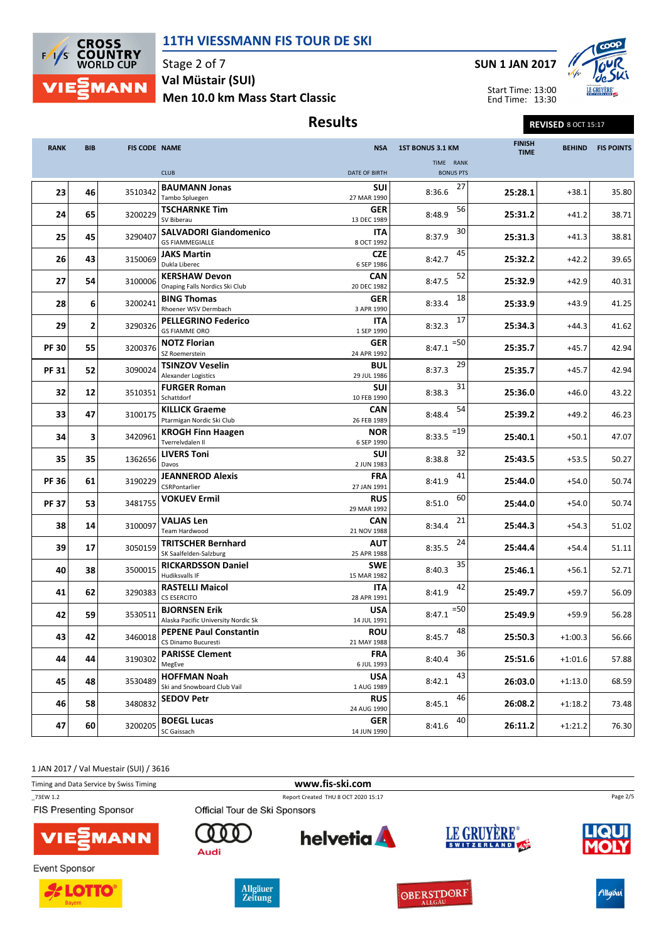

Stage 2 of 7 Men 10.0 km Mass Start Classic Val Müstair (SUI)

# Results Revised 8 OCT 15:17

SUN 1 JAN 2017

Start Time: 13:00



End Time: 13:30

| <b>RANK</b>  | <b>BIB</b><br><b>FIS CODE NAME</b> |         | <b>NSA</b>                                                  | 1ST BONUS 3.1 KM          | <b>FINISH</b><br><b>TIME</b> | <b>BEHIND</b> | <b>FIS POINTS</b> |       |
|--------------|------------------------------------|---------|-------------------------------------------------------------|---------------------------|------------------------------|---------------|-------------------|-------|
|              |                                    |         |                                                             |                           | TIME RANK                    |               |                   |       |
|              |                                    |         | <b>CLUB</b>                                                 | <b>DATE OF BIRTH</b>      | <b>BONUS PTS</b>             |               |                   |       |
| 23           | 46                                 | 3510342 | <b>BAUMANN Jonas</b><br>Tambo Spluegen                      | <b>SUI</b><br>27 MAR 1990 | 27<br>8:36.6                 | 25:28.1       | $+38.1$           | 35.80 |
| 24           | 65                                 | 3200229 | <b>TSCHARNKE Tim</b><br>SV Biberau                          | <b>GER</b><br>13 DEC 1989 | 56<br>8:48.9                 | 25:31.2       | $+41.2$           | 38.71 |
| 25           | 45                                 | 3290407 | <b>SALVADORI Giandomenico</b><br><b>GS FIAMMEGIALLE</b>     | ITA<br>8 OCT 1992         | 30<br>8:37.9                 | 25:31.3       | $+41.3$           | 38.81 |
| 26           | 43                                 | 3150069 | <b>JAKS Martin</b><br>Dukla Liberec                         | <b>CZE</b><br>6 SEP 1986  | 45<br>8:42.7                 | 25:32.2       | $+42.2$           | 39.65 |
| 27           | 54                                 | 3100006 | <b>KERSHAW Devon</b><br>Onaping Falls Nordics Ski Club      | <b>CAN</b><br>20 DEC 1982 | 52<br>8:47.5                 | 25:32.9       | $+42.9$           | 40.31 |
| 28           | 6                                  | 3200241 | <b>BING Thomas</b><br>Rhoener WSV Dermbach                  | <b>GER</b><br>3 APR 1990  | 18<br>8:33.4                 | 25:33.9       | $+43.9$           | 41.25 |
| 29           | 2                                  | 3290326 | <b>PELLEGRINO Federico</b><br><b>GS FIAMME ORO</b>          | ITA<br>1 SEP 1990         | 17<br>8:32.3                 | 25:34.3       | $+44.3$           | 41.62 |
| <b>PF 30</b> | 55                                 | 3200376 | <b>NOTZ Florian</b><br>SZ Roemerstein                       | <b>GER</b><br>24 APR 1992 | $=50$<br>8:47.1              | 25:35.7       | $+45.7$           | 42.94 |
| <b>PF 31</b> | 52                                 | 3090024 | <b>TSINZOV Veselin</b><br><b>Alexander Logistics</b>        | <b>BUL</b><br>29 JUL 1986 | 29<br>8:37.3                 | 25:35.7       | $+45.7$           | 42.94 |
| 32           | 12                                 | 3510351 | <b>FURGER Roman</b><br>Schattdorf                           | <b>SUI</b><br>10 FEB 1990 | 31<br>8:38.3                 | 25:36.0       | $+46.0$           | 43.22 |
| 33           | 47                                 | 3100175 | <b>KILLICK Graeme</b><br>Ptarmigan Nordic Ski Club          | <b>CAN</b><br>26 FEB 1989 | 54<br>8:48.4                 | 25:39.2       | $+49.2$           | 46.23 |
| 34           | 3                                  | 3420961 | <b>KROGH Finn Haagen</b><br>Tverrelvdalen II                | <b>NOR</b><br>6 SEP 1990  | $=19$<br>8:33.5              | 25:40.1       | $+50.1$           | 47.07 |
| 35           | 35                                 | 1362656 | <b>LIVERS Toni</b><br>Davos                                 | <b>SUI</b><br>2 JUN 1983  | 32<br>8:38.8                 | 25:43.5       | $+53.5$           | 50.27 |
| <b>PF 36</b> | 61                                 | 3190229 | <b>JEANNEROD Alexis</b><br>CSRPontarlier                    | <b>FRA</b><br>27 JAN 1991 | 41<br>8:41.9                 | 25:44.0       | $+54.0$           | 50.74 |
| <b>PF 37</b> | 53                                 | 3481755 | <b>VOKUEV Ermil</b>                                         | <b>RUS</b><br>29 MAR 1992 | 60<br>8:51.0                 | 25:44.0       | $+54.0$           | 50.74 |
| 38           | 14                                 | 3100097 | <b>VALJAS Len</b><br>Team Hardwood                          | <b>CAN</b><br>21 NOV 1988 | 21<br>8:34.4                 | 25:44.3       | $+54.3$           | 51.02 |
| 39           | 17                                 | 3050159 | <b>TRITSCHER Bernhard</b><br>SK Saalfelden-Salzburg         | <b>AUT</b><br>25 APR 1988 | 24<br>8:35.5                 | 25:44.4       | $+54.4$           | 51.11 |
| 40           | 38                                 | 3500015 | <b>RICKARDSSON Daniel</b><br><b>Hudiksvalls IF</b>          | <b>SWE</b><br>15 MAR 1982 | 35<br>8:40.3                 | 25:46.1       | $+56.1$           | 52.71 |
| 41           | 62                                 | 3290383 | <b>RASTELLI Maicol</b><br><b>CS ESERCITO</b>                | ITA<br>28 APR 1991        | 42<br>8:41.9                 | 25:49.7       | $+59.7$           | 56.09 |
| 42           | 59                                 | 3530511 | <b>BJORNSEN Erik</b><br>Alaska Pacific University Nordic Sk | USA<br>14 JUL 1991        | $= 50$<br>8:47.1             | 25:49.9       | $+59.9$           | 56.28 |
| 43           | 42                                 |         | 3460018 PEPENE Paul Constantin<br>CS Dinamo Bucuresti       | <b>ROU</b><br>21 MAY 1988 | 48<br>8:45.7                 | 25:50.3       | $+1:00.3$         | 56.66 |
| 44           | 44                                 | 3190302 | <b>PARISSE Clement</b><br>MegEve                            | <b>FRA</b><br>6 JUL 1993  | 36<br>8:40.4                 | 25:51.6       | $+1:01.6$         | 57.88 |
| 45           | 48                                 | 3530489 | <b>HOFFMAN Noah</b><br>Ski and Snowboard Club Vail          | <b>USA</b><br>1 AUG 1989  | 43<br>8:42.1                 | 26:03.0       | $+1:13.0$         | 68.59 |
| 46           | 58                                 | 3480832 | <b>SEDOV Petr</b>                                           | <b>RUS</b><br>24 AUG 1990 | 46<br>8:45.1                 | 26:08.2       | $+1:18.2$         | 73.48 |
| 47           | 60                                 | 3200205 | <b>BOEGL Lucas</b><br>SC Gaissach                           | <b>GER</b><br>14 JUN 1990 | 40<br>8:41.6                 | 26:11.2       | $+1:21.2$         | 76.30 |
|              |                                    |         |                                                             |                           |                              |               |                   |       |

1 JAN 2017 / Val Muestair (SUI) / 3616

Timing and Data Service by Swiss Timing **www.fis-ski.com** 

\_73EW 1.2 Report Created THU 8 OCT 2020 15:17

FIS Presenting Sponsor









Audi

Official Tour de Ski Sponsors







**OBERSTDORF** 



Page 2/5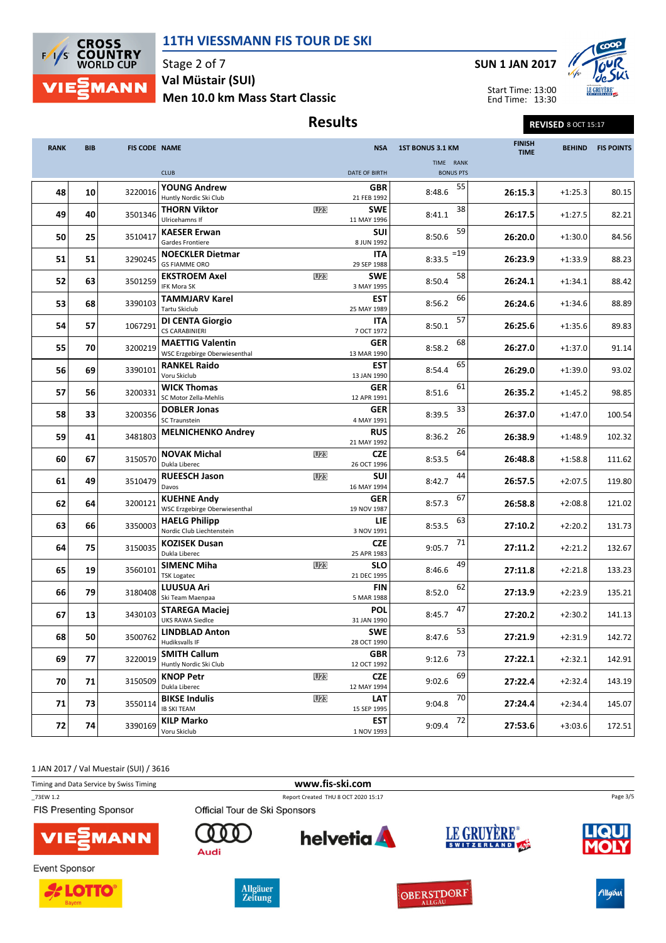

Stage 2 of 7 Men 10.0 km Mass Start Classic Val Müstair (SUI)

# Results Results REVISED 8 OCT 15:17

SUN 1 JAN 2017

Start Time: 13:00



End Time: 13:30

| <b>RANK</b> | <b>BIB</b> | <b>FIS CODE NAME</b> |                                                          |            | <b>NSA</b>                | 1ST BONUS 3.1 KM              | <b>FINISH</b><br><b>TIME</b> | <b>BEHIND</b> | <b>FIS POINTS</b> |
|-------------|------------|----------------------|----------------------------------------------------------|------------|---------------------------|-------------------------------|------------------------------|---------------|-------------------|
|             |            |                      | <b>CLUB</b>                                              |            | <b>DATE OF BIRTH</b>      | TIME RANK<br><b>BONUS PTS</b> |                              |               |                   |
| 48          | 10         | 3220016              | <b>YOUNG Andrew</b>                                      |            | GBR                       | 55<br>8:48.6                  | 26:15.3                      | $+1:25.3$     | 80.15             |
| 49          | 40         | 3501346              | Huntly Nordic Ski Club<br><b>THORN Viktor</b>            | <b>U23</b> | 21 FEB 1992<br><b>SWE</b> | 38<br>8:41.1                  | 26:17.5                      | $+1:27.5$     | 82.21             |
|             |            |                      | Ulricehamns If<br><b>KAESER Erwan</b>                    |            | 11 MAY 1996<br><b>SUI</b> | 59                            |                              |               |                   |
| 50          | 25         | 3510417              | Gardes Frontiere<br><b>NOECKLER Dietmar</b>              |            | 8 JUN 1992<br><b>ITA</b>  | 8:50.6<br>$=19$               | 26:20.0                      | $+1:30.0$     | 84.56             |
| 51          | 51         | 3290245              | <b>GS FIAMME ORO</b>                                     |            | 29 SEP 1988               | 8:33.5                        | 26:23.9                      | $+1:33.9$     | 88.23             |
| 52          | 63         | 3501259              | <b>EKSTROEM Axel</b><br><b>IFK Mora SK</b>               | <b>U23</b> | <b>SWE</b><br>3 MAY 1995  | 58<br>8:50.4                  | 26:24.1                      | $+1:34.1$     | 88.42             |
| 53          | 68         | 3390103              | <b>TAMMJARV Karel</b><br>Tartu Skiclub                   |            | <b>EST</b><br>25 MAY 1989 | 66<br>8:56.2                  | 26:24.6                      | $+1:34.6$     | 88.89             |
| 54          | 57         | 1067291              | <b>DI CENTA Giorgio</b><br><b>CS CARABINIERI</b>         |            | ITA<br>7 OCT 1972         | 57<br>8:50.1                  | 26:25.6                      | $+1:35.6$     | 89.83             |
| 55          | 70         | 3200219              | <b>MAETTIG Valentin</b><br>WSC Erzgebirge Oberwiesenthal |            | <b>GER</b><br>13 MAR 1990 | 68<br>8:58.2                  | 26:27.0                      | $+1:37.0$     | 91.14             |
| 56          | 69         | 3390101              | <b>RANKEL Raido</b><br>Voru Skiclub                      |            | <b>EST</b><br>13 JAN 1990 | 65<br>8:54.4                  | 26:29.0                      | $+1:39.0$     | 93.02             |
| 57          | 56         | 3200331              | <b>WICK Thomas</b><br>SC Motor Zella-Mehlis              |            | GER<br>12 APR 1991        | 61<br>8:51.6                  | 26:35.2                      | $+1:45.2$     | 98.85             |
| 58          | 33         | 3200356              | <b>DOBLER Jonas</b>                                      |            | GER                       | 33<br>8:39.5                  | 26:37.0                      | $+1:47.0$     | 100.54            |
| 59          | 41         | 3481803              | <b>SC Traunstein</b><br><b>MELNICHENKO Andrey</b>        |            | 4 MAY 1991<br>RUS         | 26<br>8:36.2                  | 26:38.9                      | $+1:48.9$     | 102.32            |
|             |            |                      | <b>NOVAK Michal</b>                                      | U23        | 21 MAY 1992<br><b>CZE</b> | 64                            |                              |               |                   |
| 60          | 67         | 3150570              | Dukla Liberec<br><b>RUEESCH Jason</b>                    | U23        | 26 OCT 1996<br><b>SUI</b> | 8:53.5<br>44                  | 26:48.8                      | $+1:58.8$     | 111.62            |
| 61          | 49         | 3510479              | Davos                                                    |            | 16 MAY 1994               | 8:42.7<br>67                  | 26:57.5                      | $+2:07.5$     | 119.80            |
| 62          | 64         | 3200121              | <b>KUEHNE Andy</b><br>WSC Erzgebirge Oberwiesenthal      |            | GER<br>19 NOV 1987        | 8:57.3                        | 26:58.8                      | $+2:08.8$     | 121.02            |
| 63          | 66         | 3350003              | <b>HAELG Philipp</b><br>Nordic Club Liechtenstein        |            | LIE<br>3 NOV 1991         | 63<br>8:53.5                  | 27:10.2                      | $+2:20.2$     | 131.73            |
| 64          | 75         | 3150035              | <b>KOZISEK Dusan</b><br>Dukla Liberec                    |            | <b>CZE</b><br>25 APR 1983 | 71<br>9:05.7                  | 27:11.2                      | $+2:21.2$     | 132.67            |
| 65          | 19         | 3560101              | <b>SIMENC Miha</b><br><b>TSK Logatec</b>                 | U23        | <b>SLO</b><br>21 DEC 1995 | 49<br>8:46.6                  | 27:11.8                      | $+2:21.8$     | 133.23            |
| 66          | 79         | 3180408              | <b>LUUSUA Ari</b><br>Ski Team Maenpaa                    |            | <b>FIN</b><br>5 MAR 1988  | 62<br>8:52.0                  | 27:13.9                      | $+2:23.9$     | 135.21            |
| 67          | 13         | 3430103              | <b>STAREGA Maciej</b>                                    |            | <b>POL</b>                | 47<br>8:45.7                  | 27:20.2                      | $+2:30.2$     | 141.13            |
| 68          | 50         | 3500762              | <b>UKS RAWA Siedlce</b><br><b>LINDBLAD Anton</b>         |            | 31 JAN 1990<br><b>SWE</b> | 53<br>8:47.6                  | 27:21.9                      | $+2:31.9$     | 142.72            |
|             |            |                      | <b>Hudiksvalls IF</b><br><b>SMITH Callum</b>             |            | 28 OCT 1990<br><b>GBR</b> | 73                            |                              |               |                   |
| 69          | 77         | 3220019              | Huntly Nordic Ski Club<br><b>KNOP Petr</b>               | <b>U23</b> | 12 OCT 1992<br><b>CZE</b> | 9:12.6<br>69                  | 27:22.1                      | $+2:32.1$     | 142.91            |
| 70          | 71         | 3150509              | Dukla Liberec                                            |            | 12 MAY 1994               | 9:02.6                        | 27:22.4                      | $+2:32.4$     | 143.19            |
| 71          | 73         | 3550114              | <b>BIKSE Indulis</b><br><b>IB SKI TEAM</b>               | U23        | LAT<br>15 SEP 1995        | 70<br>9:04.8                  | 27:24.4                      | $+2:34.4$     | 145.07            |
| 72          | 74         | 3390169              | <b>KILP Marko</b><br>Voru Skiclub                        |            | <b>EST</b><br>1 NOV 1993  | 72<br>9:09.4                  | 27:53.6                      | $+3:03.6$     | 172.51            |

1 JAN 2017 / Val Muestair (SUI) / 3616

Timing and Data Service by Swiss Timing **www.fis-ski.com** 

\_73EW 1.2 Report Created THU 8 OCT 2020 15:17

FIS Presenting Sponsor



**Event Sponsor** 





Audi

Official Tour de Ski Sponsors



OBERSTDORF





Allgäu

Page 3/5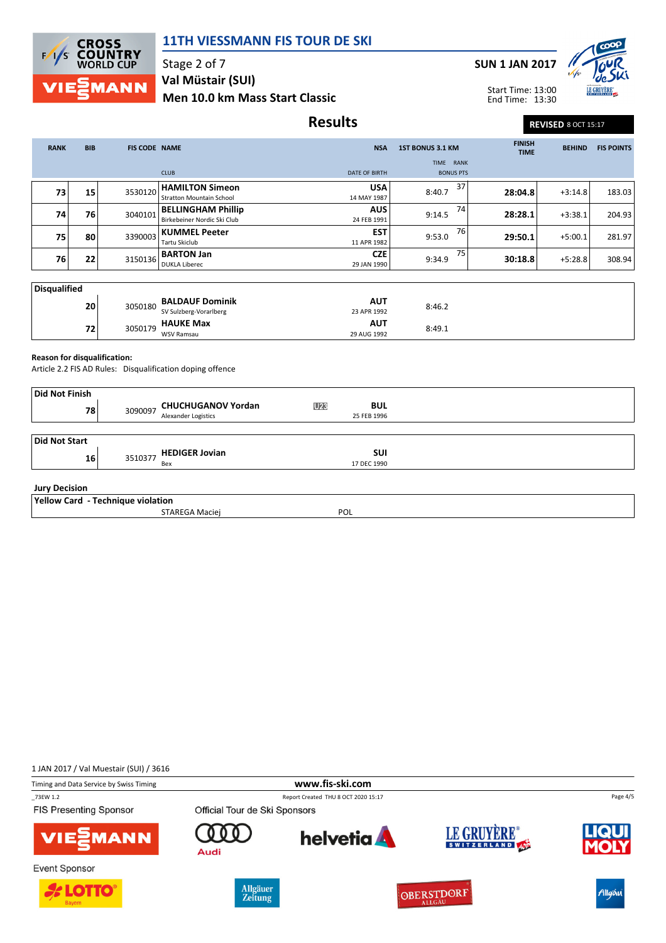

Stage 2 of 7 Men 10.0 km Mass Start Classic Val Müstair (SUI)





Start Time: 13:00 End Time: 13:30

### Results Revised 8 OCT 15:17

| <b>RANK</b>  | <b>BIB</b> | <b>FIS CODE NAME</b> |                                                           | <b>NSA</b>                | <b>1ST BONUS 3.1 KM</b>       | <b>FINISH</b><br><b>TIME</b> | <b>BEHIND</b> | <b>FIS POINTS</b> |
|--------------|------------|----------------------|-----------------------------------------------------------|---------------------------|-------------------------------|------------------------------|---------------|-------------------|
|              |            |                      | <b>CLUB</b>                                               | <b>DATE OF BIRTH</b>      | TIME RANK<br><b>BONUS PTS</b> |                              |               |                   |
| 73           | 15         | 3530120              | <b>HAMILTON Simeon</b><br><b>Stratton Mountain School</b> | <b>USA</b><br>14 MAY 1987 | 37<br>8:40.7                  | 28:04.8                      | $+3:14.8$     | 183.03            |
| 74           | 76         | 3040101              | <b>BELLINGHAM Phillip</b><br>Birkebeiner Nordic Ski Club  | <b>AUS</b><br>24 FEB 1991 | 74<br>9:14.5                  | 28:28.1                      | $+3:38.1$     | 204.93            |
| 75           | 80         | 3390003              | <b>KUMMEL Peeter</b><br>Tartu Skiclub                     | <b>EST</b><br>11 APR 1982 | 76<br>9:53.0                  | 29:50.1                      | $+5:00.1$     | 281.97            |
| 76           | 22         | 3150136              | <b>BARTON Jan</b><br><b>DUKLA Liberec</b>                 | <b>CZE</b><br>29 JAN 1990 | 75<br>9:34.9                  | 30:18.8                      | $+5:28.8$     | 308.94            |
| Disqualified |            |                      |                                                           |                           |                               |                              |               |                   |
|              | 20         | 3050180              | <b>BALDAUF Dominik</b><br>SV Sulzberg-Vorarlberg          | <b>AUT</b><br>23 APR 1992 | 8:46.2                        |                              |               |                   |
|              | 72         | 3050179              | <b>HAUKE Max</b><br><b>WSV Ramsau</b>                     | <b>AUT</b><br>29 AUG 1992 | 8:49.1                        |                              |               |                   |

29 AUG 1992

#### Reason for disqualification:

Article 2.2 FIS AD Rules: Disqualification doping offence

| Did Not Finish                    |         |                            |            |             |  |
|-----------------------------------|---------|----------------------------|------------|-------------|--|
| 78                                | 3090097 | <b>CHUCHUGANOV Yordan</b>  | <b>U23</b> | <b>BUL</b>  |  |
|                                   |         | <b>Alexander Logistics</b> |            | 25 FEB 1996 |  |
| Did Not Start                     |         |                            |            |             |  |
| 16                                | 3510377 | <b>HEDIGER Jovian</b>      |            | <b>SUI</b>  |  |
|                                   |         | Bex                        |            | 17 DEC 1990 |  |
| <b>Jury Decision</b>              |         |                            |            |             |  |
| Yellow Card - Technique violation |         |                            |            |             |  |
|                                   |         | STAREGA Maciej             |            | POL         |  |

1 JAN 2017 / Val Muestair (SUI) / 3616













Allgäu